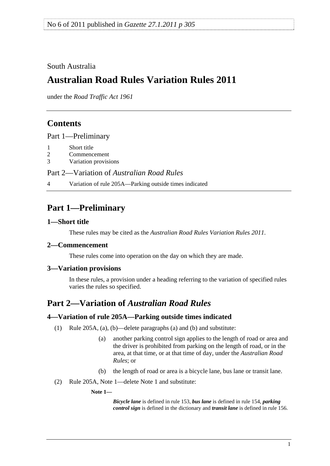<span id="page-0-0"></span>South Australia

# **Australian Road Rules Variation Rules 2011**

under the *Road Traffic Act 1961*

## **Contents**

[Part 1—Preliminary](#page-0-0)

- [1 Short title](#page-0-0)
- [2 Commencement](#page-0-0)
- [3 Variation provisions](#page-0-0)

Part 2—Variation of *[Australian Road Rules](#page-0-0)*

[4 Variation of rule 205A—Parking outside times indicated](#page-0-0) 

## **Part 1—Preliminary**

#### **1—Short title**

These rules may be cited as the *[Australian Road Rules Variation Rules 2011](http://www.legislation.sa.gov.au/index.aspx?action=legref&type=subordleg&legtitle=Australian%20Road%20Rules%20Variation%20Rules%202011)*.

## **2—Commencement**

These rules come into operation on the day on which they are made.

## **3—Variation provisions**

In these rules, a provision under a heading referring to the variation of specified rules varies the rules so specified.

## **Part 2—Variation of** *Australian Road Rules*

## **4—Variation of rule 205A—Parking outside times indicated**

- (1) Rule 205A, (a), (b)—delete paragraphs (a) and (b) and substitute:
	- (a) another parking control sign applies to the length of road or area and the driver is prohibited from parking on the length of road, or in the area, at that time, or at that time of day, under the *[Australian Road](http://www.legislation.sa.gov.au/index.aspx?action=legref&type=subordleg&legtitle=Australian%20Road%20Rules)  [Rules](http://www.legislation.sa.gov.au/index.aspx?action=legref&type=subordleg&legtitle=Australian%20Road%20Rules)*; or
	- (b) the length of road or area is a bicycle lane, bus lane or transit lane.
- (2) Rule 205A, Note 1—delete Note 1 and substitute:

#### **Note 1—**

*Bicycle lane* is defined in rule 153, *bus lane* is defined in rule 154, *parking control sign* is defined in the dictionary and *transit lane* is defined in rule 156.